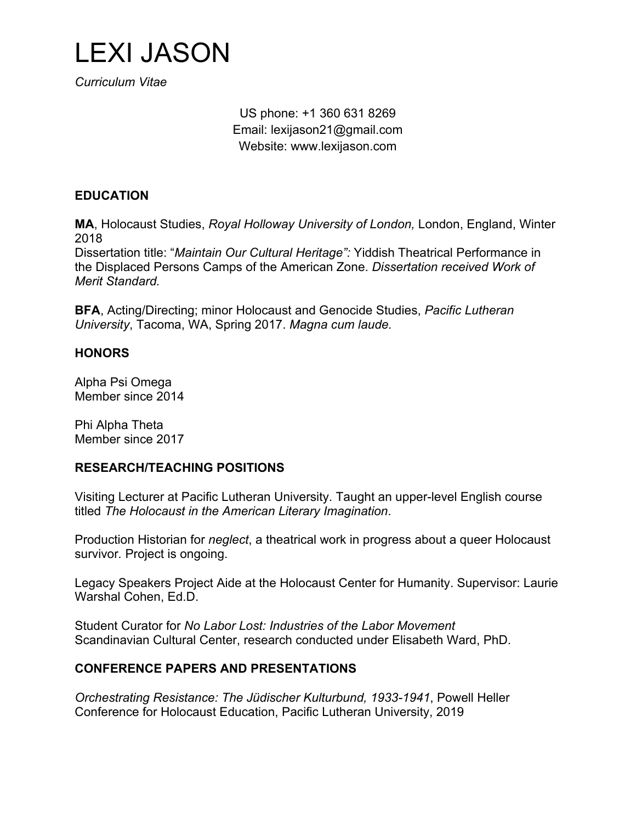

*Curriculum Vitae*

US phone: +1 360 631 8269 Email: lexijason21@gmail.com Website: www.lexijason.com

## **EDUCATION**

**MA**, Holocaust Studies, *Royal Holloway University of London,* London, England, Winter 2018

Dissertation title: "*Maintain Our Cultural Heritage":* Yiddish Theatrical Performance in the Displaced Persons Camps of the American Zone. *Dissertation received Work of Merit Standard.*

**BFA**, Acting/Directing; minor Holocaust and Genocide Studies, *Pacific Lutheran University*, Tacoma, WA, Spring 2017. *Magna cum laude.*

## **HONORS**

Alpha Psi Omega Member since 2014

Phi Alpha Theta Member since 2017

## **RESEARCH/TEACHING POSITIONS**

Visiting Lecturer at Pacific Lutheran University. Taught an upper-level English course titled *The Holocaust in the American Literary Imagination*.

Production Historian for *neglect*, a theatrical work in progress about a queer Holocaust survivor*.* Project is ongoing.

Legacy Speakers Project Aide at the Holocaust Center for Humanity. Supervisor: Laurie Warshal Cohen, Ed.D.

Student Curator for *No Labor Lost: Industries of the Labor Movement* Scandinavian Cultural Center, research conducted under Elisabeth Ward, PhD.

## **CONFERENCE PAPERS AND PRESENTATIONS**

*Orchestrating Resistance: The Jüdischer Kulturbund, 1933-1941*, Powell Heller Conference for Holocaust Education, Pacific Lutheran University, 2019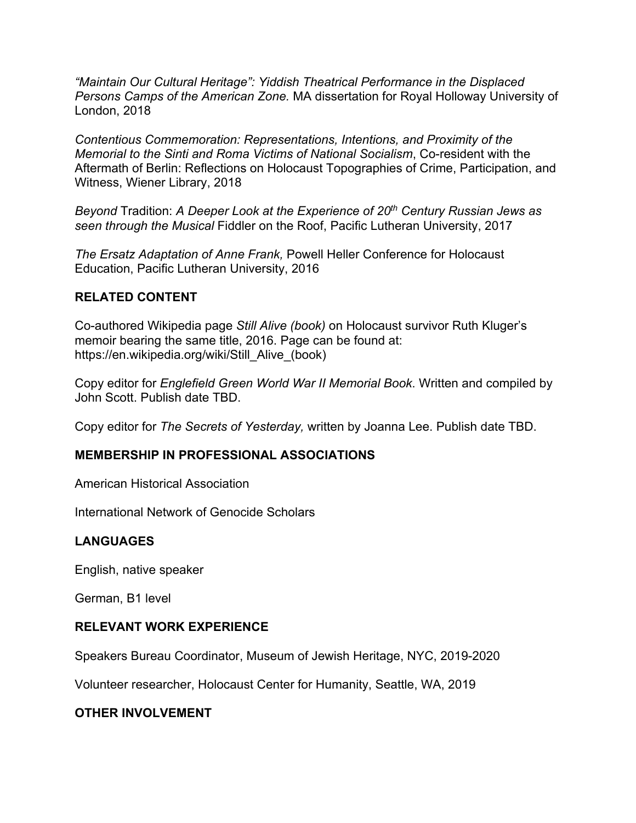*"Maintain Our Cultural Heritage": Yiddish Theatrical Performance in the Displaced Persons Camps of the American Zone.* MA dissertation for Royal Holloway University of London, 2018

*Contentious Commemoration: Representations, Intentions, and Proximity of the Memorial to the Sinti and Roma Victims of National Socialism*, Co-resident with the Aftermath of Berlin: Reflections on Holocaust Topographies of Crime, Participation, and Witness, Wiener Library, 2018

*Beyond* Tradition: *A Deeper Look at the Experience of 20th Century Russian Jews as seen through the Musical* Fiddler on the Roof, Pacific Lutheran University, 2017

*The Ersatz Adaptation of Anne Frank,* Powell Heller Conference for Holocaust Education, Pacific Lutheran University, 2016

# **RELATED CONTENT**

Co-authored Wikipedia page *Still Alive (book)* on Holocaust survivor Ruth Kluger's memoir bearing the same title, 2016. Page can be found at: https://en.wikipedia.org/wiki/Still\_Alive\_(book)

Copy editor for *Englefield Green World War II Memorial Book*. Written and compiled by John Scott. Publish date TBD.

Copy editor for *The Secrets of Yesterday,* written by Joanna Lee. Publish date TBD.

## **MEMBERSHIP IN PROFESSIONAL ASSOCIATIONS**

American Historical Association

International Network of Genocide Scholars

## **LANGUAGES**

English, native speaker

German, B1 level

### **RELEVANT WORK EXPERIENCE**

Speakers Bureau Coordinator, Museum of Jewish Heritage, NYC, 2019-2020

Volunteer researcher, Holocaust Center for Humanity, Seattle, WA, 2019

## **OTHER INVOLVEMENT**